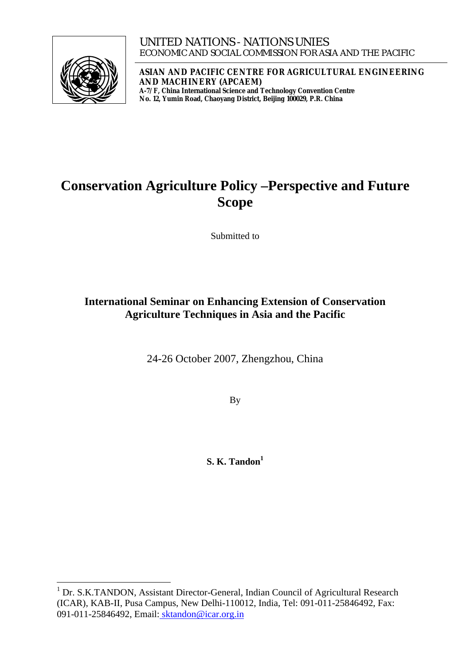

**ASIAN AND PACIFIC CENTRE FOR AGRICULTURAL ENGINEERING AND MACHINERY (APCAEM) A-7/F, China International Science and Technology Convention Centre No. 12, Yumin Road, Chaoyang District, Beijing 100029, P.R. China** 

# **Conservation Agriculture Policy –Perspective and Future Scope**

Submitted to

# **International Seminar on Enhancing Extension of Conservation Agriculture Techniques in Asia and the Pacific**

24-26 October 2007, Zhengzhou, China

By

**S. K. Tandon**<sup>1</sup>

<span id="page-0-0"></span> 1 Dr. S.K.TANDON, Assistant Director-General, Indian Council of Agricultural Research (ICAR), KAB-II, Pusa Campus, New Delhi-110012, India, Tel: 091-011-25846492, Fax: 091-011-25846492, Email: [sktandon@icar.org.in](mailto:sktandon@icar.org.in)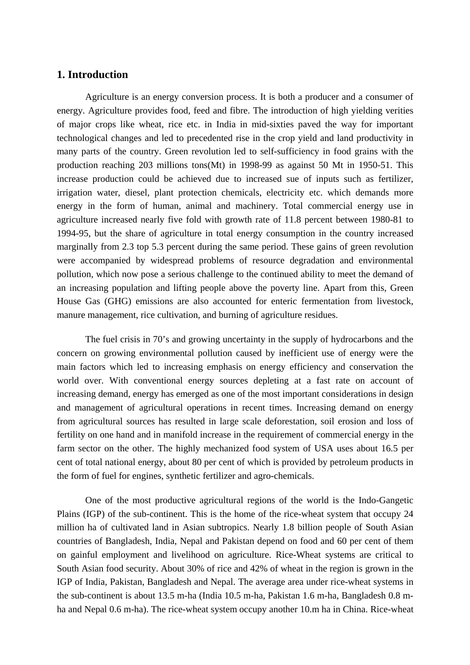### **1. Introduction**

Agriculture is an energy conversion process. It is both a producer and a consumer of energy. Agriculture provides food, feed and fibre. The introduction of high yielding verities of major crops like wheat, rice etc. in India in mid-sixties paved the way for important technological changes and led to precedented rise in the crop yield and land productivity in many parts of the country. Green revolution led to self-sufficiency in food grains with the production reaching 203 millions tons(Mt) in 1998-99 as against 50 Mt in 1950-51. This increase production could be achieved due to increased sue of inputs such as fertilizer, irrigation water, diesel, plant protection chemicals, electricity etc. which demands more energy in the form of human, animal and machinery. Total commercial energy use in agriculture increased nearly five fold with growth rate of 11.8 percent between 1980-81 to 1994-95, but the share of agriculture in total energy consumption in the country increased marginally from 2.3 top 5.3 percent during the same period. These gains of green revolution were accompanied by widespread problems of resource degradation and environmental pollution, which now pose a serious challenge to the continued ability to meet the demand of an increasing population and lifting people above the poverty line. Apart from this, Green House Gas (GHG) emissions are also accounted for enteric fermentation from livestock, manure management, rice cultivation, and burning of agriculture residues.

The fuel crisis in 70's and growing uncertainty in the supply of hydrocarbons and the concern on growing environmental pollution caused by inefficient use of energy were the main factors which led to increasing emphasis on energy efficiency and conservation the world over. With conventional energy sources depleting at a fast rate on account of increasing demand, energy has emerged as one of the most important considerations in design and management of agricultural operations in recent times. Increasing demand on energy from agricultural sources has resulted in large scale deforestation, soil erosion and loss of fertility on one hand and in manifold increase in the requirement of commercial energy in the farm sector on the other. The highly mechanized food system of USA uses about 16.5 per cent of total national energy, about 80 per cent of which is provided by petroleum products in the form of fuel for engines, synthetic fertilizer and agro-chemicals.

One of the most productive agricultural regions of the world is the Indo-Gangetic Plains (IGP) of the sub-continent. This is the home of the rice-wheat system that occupy 24 million ha of cultivated land in Asian subtropics. Nearly 1.8 billion people of South Asian countries of Bangladesh, India, Nepal and Pakistan depend on food and 60 per cent of them on gainful employment and livelihood on agriculture. Rice-Wheat systems are critical to South Asian food security. About 30% of rice and 42% of wheat in the region is grown in the IGP of India, Pakistan, Bangladesh and Nepal. The average area under rice-wheat systems in the sub-continent is about 13.5 m-ha (India 10.5 m-ha, Pakistan 1.6 m-ha, Bangladesh 0.8 mha and Nepal 0.6 m-ha). The rice-wheat system occupy another 10.m ha in China. Rice-wheat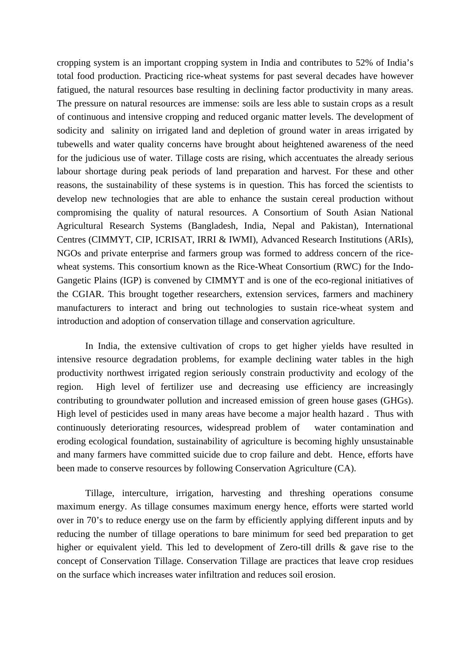cropping system is an important cropping system in India and contributes to 52% of India's total food production. Practicing rice-wheat systems for past several decades have however fatigued, the natural resources base resulting in declining factor productivity in many areas. The pressure on natural resources are immense: soils are less able to sustain crops as a result of continuous and intensive cropping and reduced organic matter levels. The development of sodicity and salinity on irrigated land and depletion of ground water in areas irrigated by tubewells and water quality concerns have brought about heightened awareness of the need for the judicious use of water. Tillage costs are rising, which accentuates the already serious labour shortage during peak periods of land preparation and harvest. For these and other reasons, the sustainability of these systems is in question. This has forced the scientists to develop new technologies that are able to enhance the sustain cereal production without compromising the quality of natural resources. A Consortium of South Asian National Agricultural Research Systems (Bangladesh, India, Nepal and Pakistan), International Centres (CIMMYT, CIP, ICRISAT, IRRI & IWMI), Advanced Research Institutions (ARIs), NGOs and private enterprise and farmers group was formed to address concern of the ricewheat systems. This consortium known as the Rice-Wheat Consortium (RWC) for the Indo-Gangetic Plains (IGP) is convened by CIMMYT and is one of the eco-regional initiatives of the CGIAR. This brought together researchers, extension services, farmers and machinery manufacturers to interact and bring out technologies to sustain rice-wheat system and introduction and adoption of conservation tillage and conservation agriculture.

In India, the extensive cultivation of crops to get higher yields have resulted in intensive resource degradation problems, for example declining water tables in the high productivity northwest irrigated region seriously constrain productivity and ecology of the region. High level of fertilizer use and decreasing use efficiency are increasingly contributing to groundwater pollution and increased emission of green house gases (GHGs). High level of pesticides used in many areas have become a major health hazard. Thus with continuously deteriorating resources, widespread problem of water contamination and eroding ecological foundation, sustainability of agriculture is becoming highly unsustainable and many farmers have committed suicide due to crop failure and debt. Hence, efforts have been made to conserve resources by following Conservation Agriculture (CA).

Tillage, interculture, irrigation, harvesting and threshing operations consume maximum energy. As tillage consumes maximum energy hence, efforts were started world over in 70's to reduce energy use on the farm by efficiently applying different inputs and by reducing the number of tillage operations to bare minimum for seed bed preparation to get higher or equivalent yield. This led to development of Zero-till drills & gave rise to the concept of Conservation Tillage. Conservation Tillage are practices that leave crop residues on the surface which increases water infiltration and reduces soil erosion.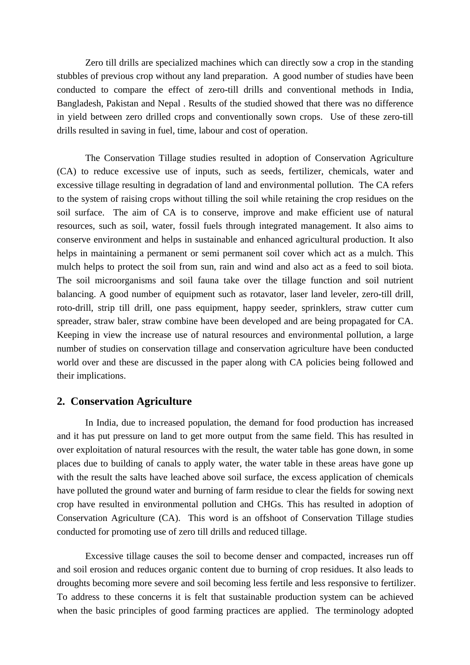Zero till drills are specialized machines which can directly sow a crop in the standing stubbles of previous crop without any land preparation. A good number of studies have been conducted to compare the effect of zero-till drills and conventional methods in India, Bangladesh, Pakistan and Nepal . Results of the studied showed that there was no difference in yield between zero drilled crops and conventionally sown crops. Use of these zero-till drills resulted in saving in fuel, time, labour and cost of operation.

The Conservation Tillage studies resulted in adoption of Conservation Agriculture (CA) to reduce excessive use of inputs, such as seeds, fertilizer, chemicals, water and excessive tillage resulting in degradation of land and environmental pollution. The CA refers to the system of raising crops without tilling the soil while retaining the crop residues on the soil surface. The aim of CA is to conserve, improve and make efficient use of natural resources, such as soil, water, fossil fuels through integrated management. It also aims to conserve environment and helps in sustainable and enhanced agricultural production. It also helps in maintaining a permanent or semi permanent soil cover which act as a mulch. This mulch helps to protect the soil from sun, rain and wind and also act as a feed to soil biota. The soil microorganisms and soil fauna take over the tillage function and soil nutrient balancing. A good number of equipment such as rotavator, laser land leveler, zero-till drill, roto-drill, strip till drill, one pass equipment, happy seeder, sprinklers, straw cutter cum spreader, straw baler, straw combine have been developed and are being propagated for CA. Keeping in view the increase use of natural resources and environmental pollution, a large number of studies on conservation tillage and conservation agriculture have been conducted world over and these are discussed in the paper along with CA policies being followed and their implications.

### **2. Conservation Agriculture**

In India, due to increased population, the demand for food production has increased and it has put pressure on land to get more output from the same field. This has resulted in over exploitation of natural resources with the result, the water table has gone down, in some places due to building of canals to apply water, the water table in these areas have gone up with the result the salts have leached above soil surface, the excess application of chemicals have polluted the ground water and burning of farm residue to clear the fields for sowing next crop have resulted in environmental pollution and CHGs. This has resulted in adoption of Conservation Agriculture (CA). This word is an offshoot of Conservation Tillage studies conducted for promoting use of zero till drills and reduced tillage.

Excessive tillage causes the soil to become denser and compacted, increases run off and soil erosion and reduces organic content due to burning of crop residues. It also leads to droughts becoming more severe and soil becoming less fertile and less responsive to fertilizer. To address to these concerns it is felt that sustainable production system can be achieved when the basic principles of good farming practices are applied. The terminology adopted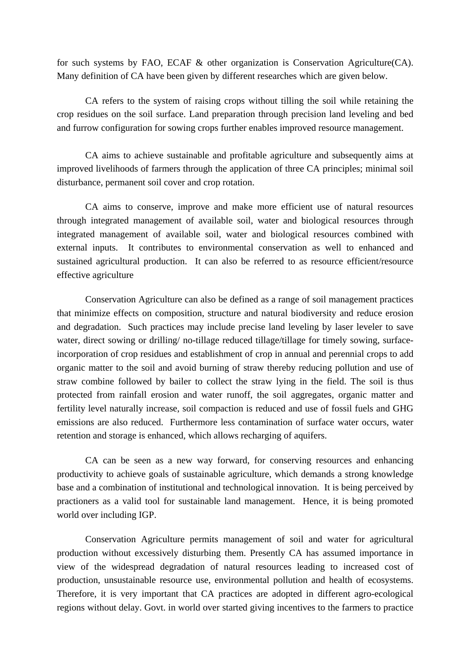for such systems by FAO, ECAF & other organization is Conservation Agriculture(CA). Many definition of CA have been given by different researches which are given below.

CA refers to the system of raising crops without tilling the soil while retaining the crop residues on the soil surface. Land preparation through precision land leveling and bed and furrow configuration for sowing crops further enables improved resource management.

CA aims to achieve sustainable and profitable agriculture and subsequently aims at improved livelihoods of farmers through the application of three CA principles; minimal soil disturbance, permanent soil cover and crop rotation.

CA aims to conserve, improve and make more efficient use of natural resources through integrated management of available soil, water and biological resources through integrated management of available soil, water and biological resources combined with external inputs. It contributes to environmental conservation as well to enhanced and sustained agricultural production. It can also be referred to as resource efficient/resource effective agriculture

Conservation Agriculture can also be defined as a range of soil management practices that minimize effects on composition, structure and natural biodiversity and reduce erosion and degradation. Such practices may include precise land leveling by laser leveler to save water, direct sowing or drilling/ no-tillage reduced tillage/tillage for timely sowing, surfaceincorporation of crop residues and establishment of crop in annual and perennial crops to add organic matter to the soil and avoid burning of straw thereby reducing pollution and use of straw combine followed by bailer to collect the straw lying in the field. The soil is thus protected from rainfall erosion and water runoff, the soil aggregates, organic matter and fertility level naturally increase, soil compaction is reduced and use of fossil fuels and GHG emissions are also reduced. Furthermore less contamination of surface water occurs, water retention and storage is enhanced, which allows recharging of aquifers.

CA can be seen as a new way forward, for conserving resources and enhancing productivity to achieve goals of sustainable agriculture, which demands a strong knowledge base and a combination of institutional and technological innovation. It is being perceived by practioners as a valid tool for sustainable land management. Hence, it is being promoted world over including IGP.

Conservation Agriculture permits management of soil and water for agricultural production without excessively disturbing them. Presently CA has assumed importance in view of the widespread degradation of natural resources leading to increased cost of production, unsustainable resource use, environmental pollution and health of ecosystems. Therefore, it is very important that CA practices are adopted in different agro-ecological regions without delay. Govt. in world over started giving incentives to the farmers to practice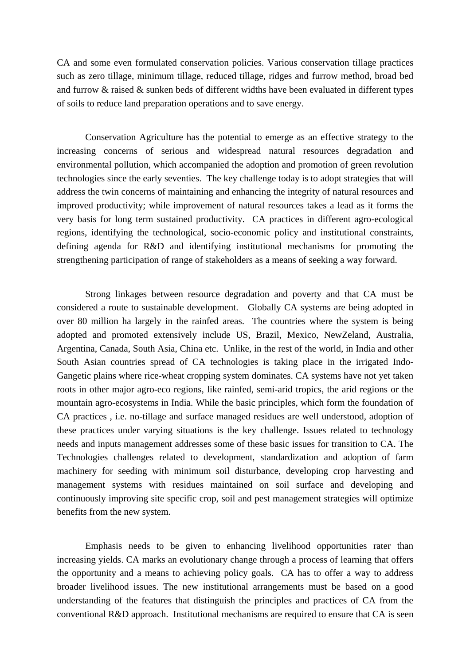CA and some even formulated conservation policies. Various conservation tillage practices such as zero tillage, minimum tillage, reduced tillage, ridges and furrow method, broad bed and furrow & raised & sunken beds of different widths have been evaluated in different types of soils to reduce land preparation operations and to save energy.

Conservation Agriculture has the potential to emerge as an effective strategy to the increasing concerns of serious and widespread natural resources degradation and environmental pollution, which accompanied the adoption and promotion of green revolution technologies since the early seventies. The key challenge today is to adopt strategies that will address the twin concerns of maintaining and enhancing the integrity of natural resources and improved productivity; while improvement of natural resources takes a lead as it forms the very basis for long term sustained productivity. CA practices in different agro-ecological regions, identifying the technological, socio-economic policy and institutional constraints, defining agenda for R&D and identifying institutional mechanisms for promoting the strengthening participation of range of stakeholders as a means of seeking a way forward.

Strong linkages between resource degradation and poverty and that CA must be considered a route to sustainable development. Globally CA systems are being adopted in over 80 million ha largely in the rainfed areas. The countries where the system is being adopted and promoted extensively include US, Brazil, Mexico, NewZeland, Australia, Argentina, Canada, South Asia, China etc. Unlike, in the rest of the world, in India and other South Asian countries spread of CA technologies is taking place in the irrigated Indo-Gangetic plains where rice-wheat cropping system dominates. CA systems have not yet taken roots in other major agro-eco regions, like rainfed, semi-arid tropics, the arid regions or the mountain agro-ecosystems in India. While the basic principles, which form the foundation of CA practices , i.e. no-tillage and surface managed residues are well understood, adoption of these practices under varying situations is the key challenge. Issues related to technology needs and inputs management addresses some of these basic issues for transition to CA. The Technologies challenges related to development, standardization and adoption of farm machinery for seeding with minimum soil disturbance, developing crop harvesting and management systems with residues maintained on soil surface and developing and continuously improving site specific crop, soil and pest management strategies will optimize benefits from the new system.

Emphasis needs to be given to enhancing livelihood opportunities rater than increasing yields. CA marks an evolutionary change through a process of learning that offers the opportunity and a means to achieving policy goals. CA has to offer a way to address broader livelihood issues. The new institutional arrangements must be based on a good understanding of the features that distinguish the principles and practices of CA from the conventional R&D approach. Institutional mechanisms are required to ensure that CA is seen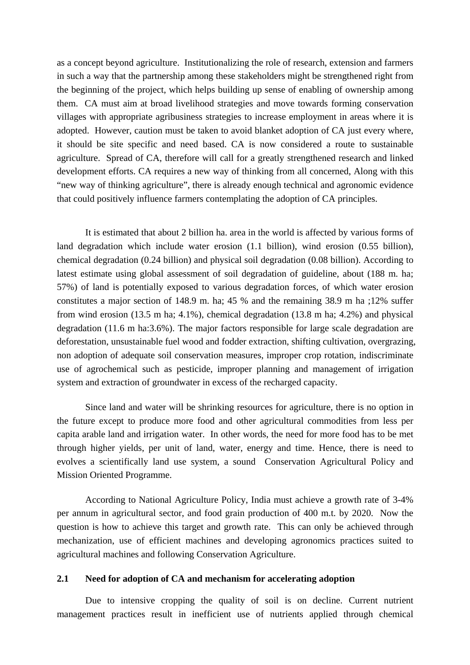as a concept beyond agriculture. Institutionalizing the role of research, extension and farmers in such a way that the partnership among these stakeholders might be strengthened right from the beginning of the project, which helps building up sense of enabling of ownership among them. CA must aim at broad livelihood strategies and move towards forming conservation villages with appropriate agribusiness strategies to increase employment in areas where it is adopted. However, caution must be taken to avoid blanket adoption of CA just every where, it should be site specific and need based. CA is now considered a route to sustainable agriculture. Spread of CA, therefore will call for a greatly strengthened research and linked development efforts. CA requires a new way of thinking from all concerned, Along with this "new way of thinking agriculture", there is already enough technical and agronomic evidence that could positively influence farmers contemplating the adoption of CA principles.

It is estimated that about 2 billion ha. area in the world is affected by various forms of land degradation which include water erosion (1.1 billion), wind erosion (0.55 billion), chemical degradation (0.24 billion) and physical soil degradation (0.08 billion). According to latest estimate using global assessment of soil degradation of guideline, about (188 m. ha; 57%) of land is potentially exposed to various degradation forces, of which water erosion constitutes a major section of 148.9 m. ha; 45 % and the remaining 38.9 m ha ;12% suffer from wind erosion (13.5 m ha; 4.1%), chemical degradation (13.8 m ha; 4.2%) and physical degradation (11.6 m ha:3.6%). The major factors responsible for large scale degradation are deforestation, unsustainable fuel wood and fodder extraction, shifting cultivation, overgrazing, non adoption of adequate soil conservation measures, improper crop rotation, indiscriminate use of agrochemical such as pesticide, improper planning and management of irrigation system and extraction of groundwater in excess of the recharged capacity.

Since land and water will be shrinking resources for agriculture, there is no option in the future except to produce more food and other agricultural commodities from less per capita arable land and irrigation water. In other words, the need for more food has to be met through higher yields, per unit of land, water, energy and time. Hence, there is need to evolves a scientifically land use system, a sound Conservation Agricultural Policy and Mission Oriented Programme.

According to National Agriculture Policy, India must achieve a growth rate of 3-4% per annum in agricultural sector, and food grain production of 400 m.t. by 2020. Now the question is how to achieve this target and growth rate. This can only be achieved through mechanization, use of efficient machines and developing agronomics practices suited to agricultural machines and following Conservation Agriculture.

#### **2.1 Need for adoption of CA and mechanism for accelerating adoption**

Due to intensive cropping the quality of soil is on decline. Current nutrient management practices result in inefficient use of nutrients applied through chemical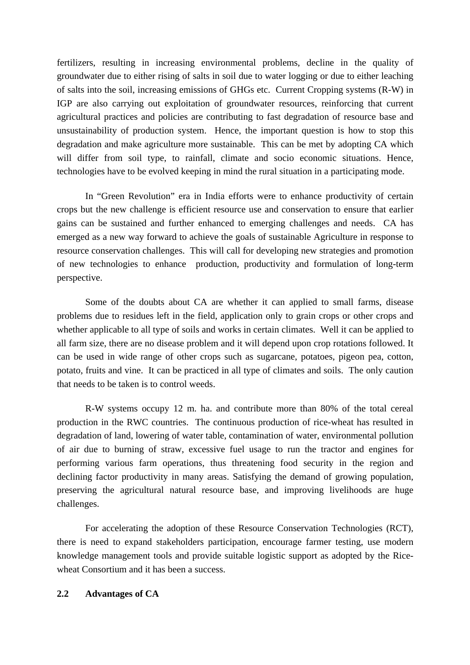fertilizers, resulting in increasing environmental problems, decline in the quality of groundwater due to either rising of salts in soil due to water logging or due to either leaching of salts into the soil, increasing emissions of GHGs etc. Current Cropping systems (R-W) in IGP are also carrying out exploitation of groundwater resources, reinforcing that current agricultural practices and policies are contributing to fast degradation of resource base and unsustainability of production system. Hence, the important question is how to stop this degradation and make agriculture more sustainable. This can be met by adopting CA which will differ from soil type, to rainfall, climate and socio economic situations. Hence, technologies have to be evolved keeping in mind the rural situation in a participating mode.

In "Green Revolution" era in India efforts were to enhance productivity of certain crops but the new challenge is efficient resource use and conservation to ensure that earlier gains can be sustained and further enhanced to emerging challenges and needs. CA has emerged as a new way forward to achieve the goals of sustainable Agriculture in response to resource conservation challenges. This will call for developing new strategies and promotion of new technologies to enhance production, productivity and formulation of long-term perspective.

Some of the doubts about CA are whether it can applied to small farms, disease problems due to residues left in the field, application only to grain crops or other crops and whether applicable to all type of soils and works in certain climates. Well it can be applied to all farm size, there are no disease problem and it will depend upon crop rotations followed. It can be used in wide range of other crops such as sugarcane, potatoes, pigeon pea, cotton, potato, fruits and vine. It can be practiced in all type of climates and soils. The only caution that needs to be taken is to control weeds.

R-W systems occupy 12 m. ha. and contribute more than 80% of the total cereal production in the RWC countries. The continuous production of rice-wheat has resulted in degradation of land, lowering of water table, contamination of water, environmental pollution of air due to burning of straw, excessive fuel usage to run the tractor and engines for performing various farm operations, thus threatening food security in the region and declining factor productivity in many areas. Satisfying the demand of growing population, preserving the agricultural natural resource base, and improving livelihoods are huge challenges.

For accelerating the adoption of these Resource Conservation Technologies (RCT), there is need to expand stakeholders participation, encourage farmer testing, use modern knowledge management tools and provide suitable logistic support as adopted by the Ricewheat Consortium and it has been a success.

### **2.2 Advantages of CA**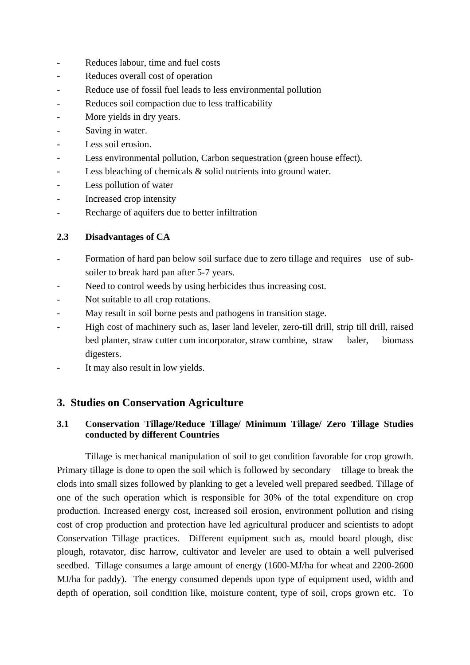- Reduces labour, time and fuel costs
- Reduces overall cost of operation
- Reduce use of fossil fuel leads to less environmental pollution
- Reduces soil compaction due to less trafficability
- More yields in dry years.
- Saving in water.
- Less soil erosion.
- Less environmental pollution, Carbon sequestration (green house effect).
- Less bleaching of chemicals  $\&$  solid nutrients into ground water.
- Less pollution of water
- Increased crop intensity
- Recharge of aquifers due to better infiltration

## **2.3 Disadvantages of CA**

- Formation of hard pan below soil surface due to zero tillage and requires use of subsoiler to break hard pan after 5-7 years.
- Need to control weeds by using herbicides thus increasing cost.
- Not suitable to all crop rotations.
- May result in soil borne pests and pathogens in transition stage.
- High cost of machinery such as, laser land leveler, zero-till drill, strip till drill, raised bed planter, straw cutter cum incorporator, straw combine, straw baler, biomass digesters.
- It may also result in low yields.

# **3. Studies on Conservation Agriculture**

## **3.1 Conservation Tillage/Reduce Tillage/ Minimum Tillage/ Zero Tillage Studies conducted by different Countries**

Tillage is mechanical manipulation of soil to get condition favorable for crop growth. Primary tillage is done to open the soil which is followed by secondary tillage to break the clods into small sizes followed by planking to get a leveled well prepared seedbed. Tillage of one of the such operation which is responsible for 30% of the total expenditure on crop production. Increased energy cost, increased soil erosion, environment pollution and rising cost of crop production and protection have led agricultural producer and scientists to adopt Conservation Tillage practices. Different equipment such as, mould board plough, disc plough, rotavator, disc harrow, cultivator and leveler are used to obtain a well pulverised seedbed. Tillage consumes a large amount of energy (1600-MJ/ha for wheat and 2200-2600 MJ/ha for paddy). The energy consumed depends upon type of equipment used, width and depth of operation, soil condition like, moisture content, type of soil, crops grown etc. To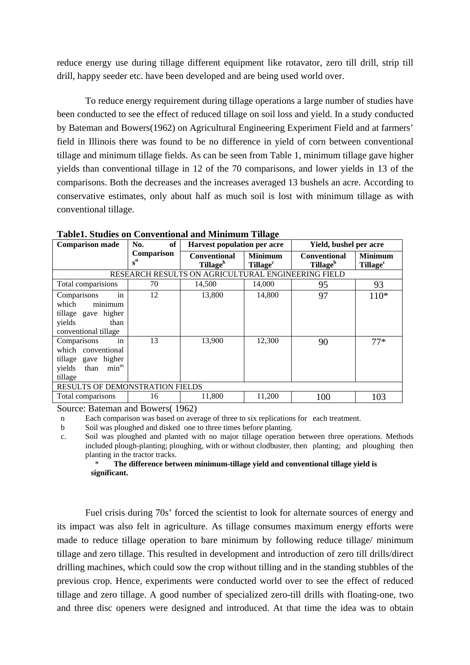reduce energy use during tillage different equipment like rotavator, zero till drill, strip till drill, happy seeder etc. have been developed and are being used world over.

To reduce energy requirement during tillage operations a large number of studies have been conducted to see the effect of reduced tillage on soil loss and yield. In a study conducted by Bateman and Bowers(1962) on Agricultural Engineering Experiment Field and at farmers' field in Illinois there was found to be no difference in yield of corn between conventional tillage and minimum tillage fields. As can be seen from Table 1, minimum tillage gave higher yields than conventional tillage in 12 of the 70 comparisons, and lower yields in 13 of the comparisons. Both the decreases and the increases averaged 13 bushels an acre. According to conservative estimates, only about half as much soil is lost with minimum tillage as with conventional tillage.

| <b>Comparison made</b>                                                                                                               | of<br>No.           | <b>Harvest population per acre</b>                 |                                              | Yield, bushel per acre                      |                                        |
|--------------------------------------------------------------------------------------------------------------------------------------|---------------------|----------------------------------------------------|----------------------------------------------|---------------------------------------------|----------------------------------------|
|                                                                                                                                      | Comparison<br>$s^n$ | <b>Conventional</b><br>Tillage <sup>b</sup>        | <b>Minimum</b><br><b>Tillage<sup>c</sup></b> | <b>Conventional</b><br>Tillage <sup>b</sup> | <b>Minimum</b><br>Tillage <sup>c</sup> |
|                                                                                                                                      |                     | RESEARCH RESULTS ON AGRICULTURAL ENGINEERING FIELD |                                              |                                             |                                        |
| Total comparisions                                                                                                                   | 70                  | 14,500                                             | 14,000                                       | 95                                          | 93                                     |
| in<br>Comparisons<br>minimum<br>which<br>tillage gave higher<br>yields<br>than<br>conventional tillage<br>in<br>Comparisons          | 12<br>13            | 13,800<br>13,900                                   | 14,800<br>12,300                             | 97<br>90                                    | $110*$<br>$77*$                        |
| which conventional<br>tillage gave higher<br>min <sup>m</sup><br>yields<br>than<br>tillage<br><b>RESULTS OF DEMONSTRATION FIELDS</b> |                     |                                                    |                                              |                                             |                                        |
|                                                                                                                                      |                     |                                                    |                                              |                                             |                                        |
| Total comparisons                                                                                                                    | 16                  | 11,800                                             | 11,200                                       | 100                                         | 103                                    |

**Table1. Studies on Conventional and Minimum Tillage** 

Source: Bateman and Bowers( 1962)

n Each comparison was based on average of three to six replications for each treatment.

b Soil was ploughed and disked one to three times before planting.

 c. Soil was ploughed and planted with no major tillage operation between three operations. Methods included plough-planting; ploughing, with or without clodbuster, then planting; and ploughing then planting in the tractor tracks.

 \* **The difference between minimum-tillage yield and conventional tillage yield is significant.** 

Fuel crisis during 70s' forced the scientist to look for alternate sources of energy and its impact was also felt in agriculture. As tillage consumes maximum energy efforts were made to reduce tillage operation to bare minimum by following reduce tillage/ minimum tillage and zero tillage. This resulted in development and introduction of zero till drills/direct drilling machines, which could sow the crop without tilling and in the standing stubbles of the previous crop. Hence, experiments were conducted world over to see the effect of reduced tillage and zero tillage. A good number of specialized zero-till drills with floating-one, two and three disc openers were designed and introduced. At that time the idea was to obtain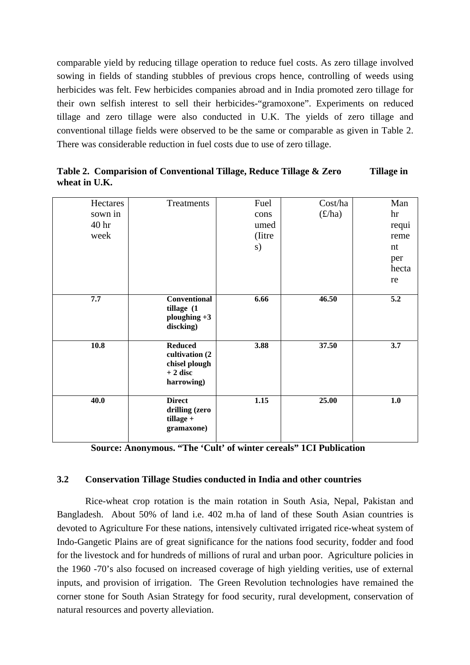comparable yield by reducing tillage operation to reduce fuel costs. As zero tillage involved sowing in fields of standing stubbles of previous crops hence, controlling of weeds using herbicides was felt. Few herbicides companies abroad and in India promoted zero tillage for their own selfish interest to sell their herbicides-"gramoxone". Experiments on reduced tillage and zero tillage were also conducted in U.K. The yields of zero tillage and conventional tillage fields were observed to be the same or comparable as given in Table 2. There was considerable reduction in fuel costs due to use of zero tillage.

| Hectares<br>sown in<br>40 <sub>hr</sub><br>week | <b>Treatments</b>                                                             | Fuel<br>cons<br>umed<br>(litre)<br>s) | Cost/ha<br>(E/ha) | Man<br>hr<br>requi<br>reme<br>nt<br>per<br>hecta<br>re |
|-------------------------------------------------|-------------------------------------------------------------------------------|---------------------------------------|-------------------|--------------------------------------------------------|
| 7.7                                             | <b>Conventional</b><br>tillage (1<br>ploughing $+3$<br>discking)              | 6.66                                  | 46.50             | 5.2                                                    |
| 10.8                                            | <b>Reduced</b><br>cultivation (2)<br>chisel plough<br>$+2$ disc<br>harrowing) | 3.88                                  | 37.50             | 3.7                                                    |
| 40.0                                            | <b>Direct</b><br>drilling (zero<br>$tillage +$<br>gramaxone)                  | 1.15                                  | 25.00             | 1.0                                                    |

**Table 2. Comparision of Conventional Tillage, Reduce Tillage & Zero Tillage in wheat in U.K.** 

**Source: Anonymous. "The 'Cult' of winter cereals" 1CI Publication** 

### **3.2 Conservation Tillage Studies conducted in India and other countries**

Rice-wheat crop rotation is the main rotation in South Asia, Nepal, Pakistan and Bangladesh. About 50% of land i.e. 402 m.ha of land of these South Asian countries is devoted to Agriculture For these nations, intensively cultivated irrigated rice-wheat system of Indo-Gangetic Plains are of great significance for the nations food security, fodder and food for the livestock and for hundreds of millions of rural and urban poor. Agriculture policies in the 1960 -70's also focused on increased coverage of high yielding verities, use of external inputs, and provision of irrigation. The Green Revolution technologies have remained the corner stone for South Asian Strategy for food security, rural development, conservation of natural resources and poverty alleviation.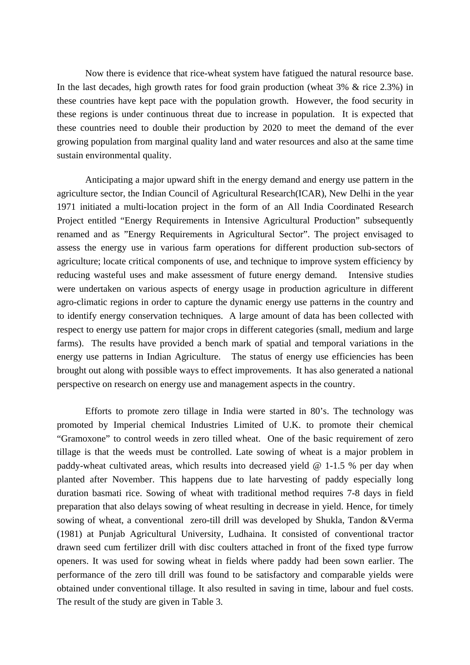Now there is evidence that rice-wheat system have fatigued the natural resource base. In the last decades, high growth rates for food grain production (wheat 3% & rice 2.3%) in these countries have kept pace with the population growth. However, the food security in these regions is under continuous threat due to increase in population. It is expected that these countries need to double their production by 2020 to meet the demand of the ever growing population from marginal quality land and water resources and also at the same time sustain environmental quality.

Anticipating a major upward shift in the energy demand and energy use pattern in the agriculture sector, the Indian Council of Agricultural Research(ICAR), New Delhi in the year 1971 initiated a multi-location project in the form of an All India Coordinated Research Project entitled "Energy Requirements in Intensive Agricultural Production" subsequently renamed and as "Energy Requirements in Agricultural Sector". The project envisaged to assess the energy use in various farm operations for different production sub-sectors of agriculture; locate critical components of use, and technique to improve system efficiency by reducing wasteful uses and make assessment of future energy demand. Intensive studies were undertaken on various aspects of energy usage in production agriculture in different agro-climatic regions in order to capture the dynamic energy use patterns in the country and to identify energy conservation techniques. A large amount of data has been collected with respect to energy use pattern for major crops in different categories (small, medium and large farms). The results have provided a bench mark of spatial and temporal variations in the energy use patterns in Indian Agriculture. The status of energy use efficiencies has been brought out along with possible ways to effect improvements. It has also generated a national perspective on research on energy use and management aspects in the country.

Efforts to promote zero tillage in India were started in 80's. The technology was promoted by Imperial chemical Industries Limited of U.K. to promote their chemical "Gramoxone" to control weeds in zero tilled wheat. One of the basic requirement of zero tillage is that the weeds must be controlled. Late sowing of wheat is a major problem in paddy-wheat cultivated areas, which results into decreased yield  $\omega$  1-1.5 % per day when planted after November. This happens due to late harvesting of paddy especially long duration basmati rice. Sowing of wheat with traditional method requires 7-8 days in field preparation that also delays sowing of wheat resulting in decrease in yield. Hence, for timely sowing of wheat, a conventional zero-till drill was developed by Shukla, Tandon &Verma (1981) at Punjab Agricultural University, Ludhaina. It consisted of conventional tractor drawn seed cum fertilizer drill with disc coulters attached in front of the fixed type furrow openers. It was used for sowing wheat in fields where paddy had been sown earlier. The performance of the zero till drill was found to be satisfactory and comparable yields were obtained under conventional tillage. It also resulted in saving in time, labour and fuel costs. The result of the study are given in Table 3.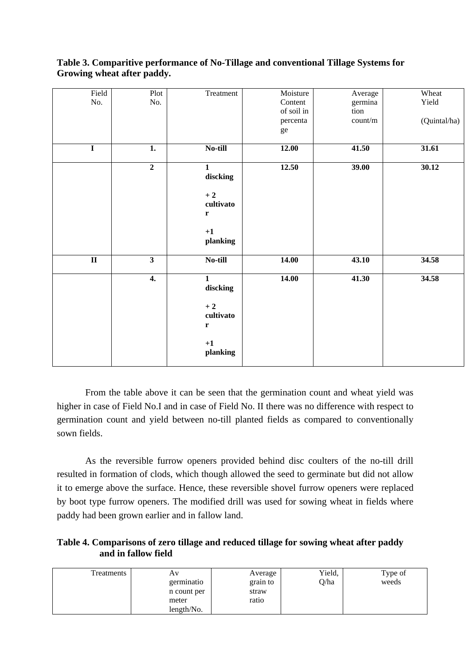| Field                   | Plot                    | Treatment    | Moisture   | Average | Wheat        |
|-------------------------|-------------------------|--------------|------------|---------|--------------|
| No.                     | No.                     |              | Content    | germina | Yield        |
|                         |                         |              | of soil in | tion    |              |
|                         |                         |              | percenta   | count/m | (Quintal/ha) |
|                         |                         |              | ge         |         |              |
|                         |                         |              |            |         |              |
| $\mathbf I$             | 1.                      | No-till      | 12.00      | 41.50   | 31.61        |
|                         |                         |              |            |         |              |
|                         | $\overline{2}$          | $\mathbf{1}$ | 12.50      | 39.00   | 30.12        |
|                         |                         | discking     |            |         |              |
|                         |                         | $+2$         |            |         |              |
|                         |                         | cultivato    |            |         |              |
|                         |                         |              |            |         |              |
|                         |                         | $\mathbf r$  |            |         |              |
|                         |                         | $\bf{+1}$    |            |         |              |
|                         |                         | planking     |            |         |              |
|                         |                         |              |            |         |              |
| $\overline{\mathbf{u}}$ | $\overline{\mathbf{3}}$ | No-till      | 14.00      | 43.10   | 34.58        |
|                         |                         |              |            |         |              |
|                         | $\boldsymbol{4}$ .      | $\mathbf{1}$ | 14.00      | 41.30   | 34.58        |
|                         |                         | discking     |            |         |              |
|                         |                         |              |            |         |              |
|                         |                         | $+2$         |            |         |              |
|                         |                         | cultivato    |            |         |              |
|                         |                         | $\mathbf r$  |            |         |              |
|                         |                         |              |            |         |              |
|                         |                         | $+1$         |            |         |              |
|                         |                         | planking     |            |         |              |
|                         |                         |              |            |         |              |

### **Table 3. Comparitive performance of No-Tillage and conventional Tillage Systems for Growing wheat after paddy.**

From the table above it can be seen that the germination count and wheat yield was higher in case of Field No.I and in case of Field No. II there was no difference with respect to germination count and yield between no-till planted fields as compared to conventionally sown fields.

As the reversible furrow openers provided behind disc coulters of the no-till drill resulted in formation of clods, which though allowed the seed to germinate but did not allow it to emerge above the surface. Hence, these reversible shovel furrow openers were replaced by boot type furrow openers. The modified drill was used for sowing wheat in fields where paddy had been grown earlier and in fallow land.

# **Table 4. Comparisons of zero tillage and reduced tillage for sowing wheat after paddy and in fallow field**

| Treatments | Av          | Average  | Yield, | Type of |
|------------|-------------|----------|--------|---------|
|            | germinatio  | grain to | Q/ha   | weeds   |
|            | n count per | straw    |        |         |
|            | meter       | ratio    |        |         |
|            | length/No.  |          |        |         |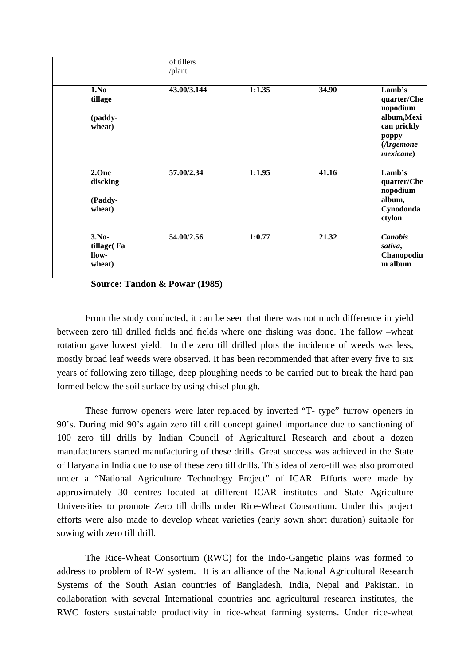|                                          | of tillers<br>/plant |        |       |                                                                                                    |
|------------------------------------------|----------------------|--------|-------|----------------------------------------------------------------------------------------------------|
| 1.No<br>tillage<br>(paddy-<br>wheat)     | 43.00/3.144          | 1:1.35 | 34.90 | Lamb's<br>quarter/Che<br>nopodium<br>album, Mexi<br>can prickly<br>poppy<br>(Argemone<br>mexicane) |
| 2.One<br>discking<br>(Paddy-<br>wheat)   | 57.00/2.34           | 1:1.95 | 41.16 | Lamb's<br>quarter/Che<br>nopodium<br>album,<br>Cynodonda<br>ctylon                                 |
| $3.No-$<br>tillage(Fa<br>llow-<br>wheat) | 54.00/2.56           | 1:0.77 | 21.32 | <b>Canobis</b><br>sativa,<br>Chanopodiu<br>m album                                                 |

**Source: Tandon & Powar (1985)** 

From the study conducted, it can be seen that there was not much difference in yield between zero till drilled fields and fields where one disking was done. The fallow –wheat rotation gave lowest yield. In the zero till drilled plots the incidence of weeds was less, mostly broad leaf weeds were observed. It has been recommended that after every five to six years of following zero tillage, deep ploughing needs to be carried out to break the hard pan formed below the soil surface by using chisel plough.

These furrow openers were later replaced by inverted "T- type" furrow openers in 90's. During mid 90's again zero till drill concept gained importance due to sanctioning of 100 zero till drills by Indian Council of Agricultural Research and about a dozen manufacturers started manufacturing of these drills. Great success was achieved in the State of Haryana in India due to use of these zero till drills. This idea of zero-till was also promoted under a "National Agriculture Technology Project" of ICAR. Efforts were made by approximately 30 centres located at different ICAR institutes and State Agriculture Universities to promote Zero till drills under Rice-Wheat Consortium. Under this project efforts were also made to develop wheat varieties (early sown short duration) suitable for sowing with zero till drill.

The Rice-Wheat Consortium (RWC) for the Indo-Gangetic plains was formed to address to problem of R-W system. It is an alliance of the National Agricultural Research Systems of the South Asian countries of Bangladesh, India, Nepal and Pakistan. In collaboration with several International countries and agricultural research institutes, the RWC fosters sustainable productivity in rice-wheat farming systems. Under rice-wheat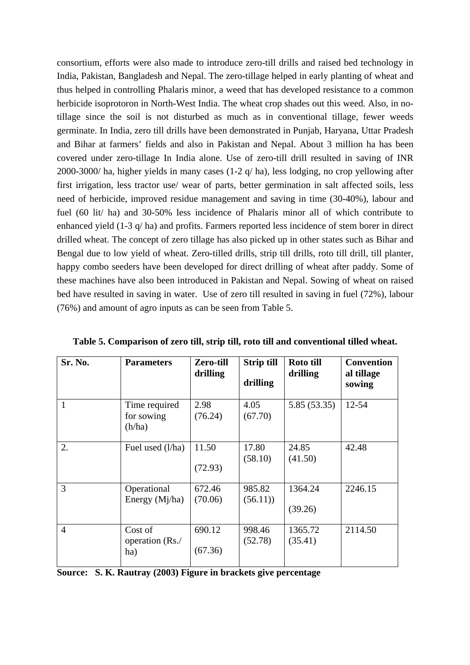consortium, efforts were also made to introduce zero-till drills and raised bed technology in India, Pakistan, Bangladesh and Nepal. The zero-tillage helped in early planting of wheat and thus helped in controlling Phalaris minor, a weed that has developed resistance to a common herbicide isoprotoron in North-West India. The wheat crop shades out this weed. Also, in notillage since the soil is not disturbed as much as in conventional tillage, fewer weeds germinate. In India, zero till drills have been demonstrated in Punjab, Haryana, Uttar Pradesh and Bihar at farmers' fields and also in Pakistan and Nepal. About 3 million ha has been covered under zero-tillage In India alone. Use of zero-till drill resulted in saving of INR 2000-3000/ ha, higher yields in many cases (1-2 q/ ha), less lodging, no crop yellowing after first irrigation, less tractor use/ wear of parts, better germination in salt affected soils, less need of herbicide, improved residue management and saving in time (30-40%), labour and fuel (60 lit/ ha) and 30-50% less incidence of Phalaris minor all of which contribute to enhanced yield (1-3 q/ ha) and profits. Farmers reported less incidence of stem borer in direct drilled wheat. The concept of zero tillage has also picked up in other states such as Bihar and Bengal due to low yield of wheat. Zero-tilled drills, strip till drills, roto till drill, till planter, happy combo seeders have been developed for direct drilling of wheat after paddy. Some of these machines have also been introduced in Pakistan and Nepal. Sowing of wheat on raised bed have resulted in saving in water. Use of zero till resulted in saving in fuel (72%), labour (76%) and amount of agro inputs as can be seen from Table 5.

| Sr. No.        | <b>Parameters</b>                     | <b>Zero-till</b><br>drilling | <b>Strip till</b><br>drilling | Roto till<br>drilling | <b>Convention</b><br>al tillage<br>sowing |
|----------------|---------------------------------------|------------------------------|-------------------------------|-----------------------|-------------------------------------------|
| 1              | Time required<br>for sowing<br>(h/ha) | 2.98<br>(76.24)              | 4.05<br>(67.70)               | 5.85 (53.35)          | $12 - 54$                                 |
| 2.             | Fuel used (l/ha)                      | 11.50<br>(72.93)             | 17.80<br>(58.10)              | 24.85<br>(41.50)      | 42.48                                     |
| 3              | Operational<br>Energy $(Mj/ha)$       | 672.46<br>(70.06)            | 985.82<br>(56.11)             | 1364.24<br>(39.26)    | 2246.15                                   |
| $\overline{4}$ | Cost of<br>operation (Rs./<br>ha)     | 690.12<br>(67.36)            | 998.46<br>(52.78)             | 1365.72<br>(35.41)    | 2114.50                                   |

**Table 5. Comparison of zero till, strip till, roto till and conventional tilled wheat.** 

|  |  |  | Source: S. K. Rautray (2003) Figure in brackets give percentage |
|--|--|--|-----------------------------------------------------------------|
|--|--|--|-----------------------------------------------------------------|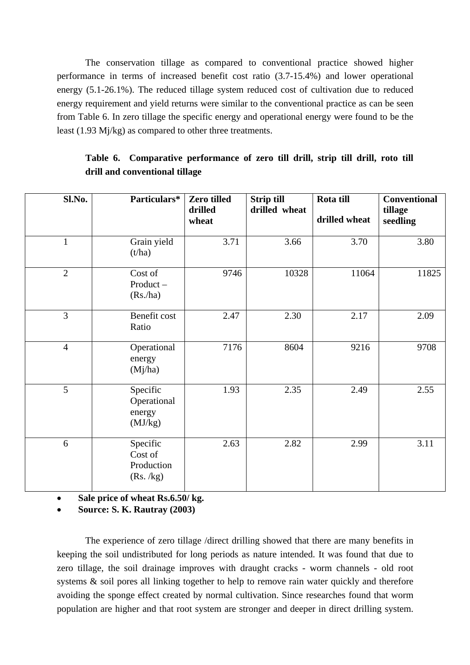The conservation tillage as compared to conventional practice showed higher performance in terms of increased benefit cost ratio (3.7-15.4%) and lower operational energy (5.1-26.1%). The reduced tillage system reduced cost of cultivation due to reduced energy requirement and yield returns were similar to the conventional practice as can be seen from Table 6. In zero tillage the specific energy and operational energy were found to be the least (1.93 Mj/kg) as compared to other three treatments.

| Sl.No.         | Particulars*                                  | Zero tilled<br>drilled<br>wheat | <b>Strip till</b><br>drilled wheat | Rota till<br>drilled wheat | <b>Conventional</b><br>tillage<br>seedling |
|----------------|-----------------------------------------------|---------------------------------|------------------------------------|----------------------------|--------------------------------------------|
| $\mathbf{1}$   | Grain yield<br>(t/ha)                         | 3.71                            | 3.66                               | 3.70                       | 3.80                                       |
| $\overline{2}$ | Cost of<br>$Product -$<br>(Rs/ha)             | 9746                            | 10328                              | 11064                      | 11825                                      |
| $\overline{3}$ | Benefit cost<br>Ratio                         | 2.47                            | 2.30                               | 2.17                       | 2.09                                       |
| $\overline{4}$ | Operational<br>energy<br>(Mj/ha)              | 7176                            | 8604                               | 9216                       | 9708                                       |
| 5              | Specific<br>Operational<br>energy<br>(MJ/kg)  | 1.93                            | 2.35                               | 2.49                       | 2.55                                       |
| 6              | Specific<br>Cost of<br>Production<br>(Rs./kg) | 2.63                            | 2.82                               | 2.99                       | 3.11                                       |

**Table 6. Comparative performance of zero till drill, strip till drill, roto till drill and conventional tillage** 

• **Sale price of wheat Rs.6.50/ kg.** 

• **Source: S. K. Rautray (2003)** 

The experience of zero tillage /direct drilling showed that there are many benefits in keeping the soil undistributed for long periods as nature intended. It was found that due to zero tillage, the soil drainage improves with draught cracks - worm channels - old root systems & soil pores all linking together to help to remove rain water quickly and therefore avoiding the sponge effect created by normal cultivation. Since researches found that worm population are higher and that root system are stronger and deeper in direct drilling system.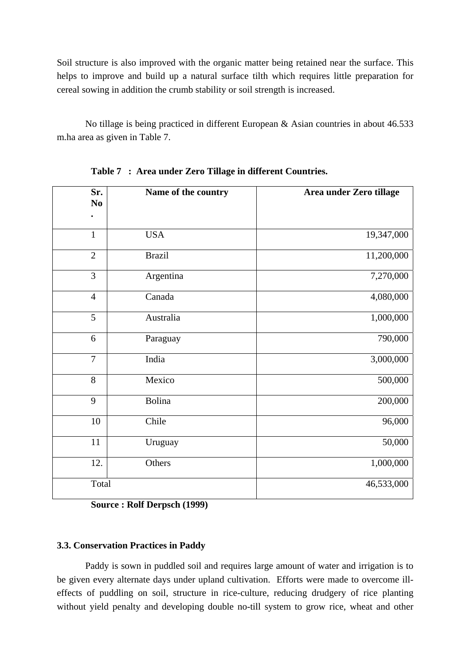Soil structure is also improved with the organic matter being retained near the surface. This helps to improve and build up a natural surface tilth which requires little preparation for cereal sowing in addition the crumb stability or soil strength is increased.

No tillage is being practiced in different European & Asian countries in about 46.533 m.ha area as given in Table 7.

| Sr.<br>N <sub>0</sub> | Name of the country | Area under Zero tillage |
|-----------------------|---------------------|-------------------------|
|                       |                     |                         |
| $\mathbf{1}$          | <b>USA</b>          | 19,347,000              |
| $\overline{2}$        | <b>Brazil</b>       | 11,200,000              |
| 3                     | Argentina           | 7,270,000               |
| $\overline{4}$        | Canada              | 4,080,000               |
| 5                     | Australia           | 1,000,000               |
| 6                     | Paraguay            | 790,000                 |
| $\overline{7}$        | India               | 3,000,000               |
| 8                     | Mexico              | 500,000                 |
| 9                     | <b>Bolina</b>       | 200,000                 |
| 10                    | Chile               | 96,000                  |
| 11                    | Uruguay             | 50,000                  |
| 12.                   | Others              | 1,000,000               |
| Total                 |                     | 46,533,000              |

**Table 7 : Area under Zero Tillage in different Countries.** 

**Source : Rolf Derpsch (1999)** 

### **3.3. Conservation Practices in Paddy**

Paddy is sown in puddled soil and requires large amount of water and irrigation is to be given every alternate days under upland cultivation. Efforts were made to overcome illeffects of puddling on soil, structure in rice-culture, reducing drudgery of rice planting without yield penalty and developing double no-till system to grow rice, wheat and other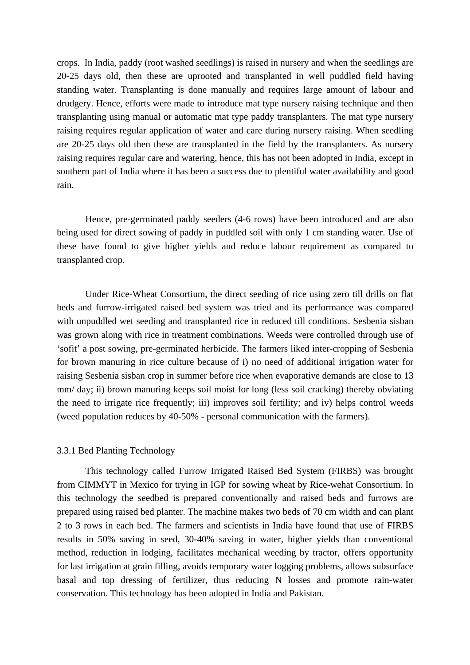crops. In India, paddy (root washed seedlings) is raised in nursery and when the seedlings are 20-25 days old, then these are uprooted and transplanted in well puddled field having standing water. Transplanting is done manually and requires large amount of labour and drudgery. Hence, efforts were made to introduce mat type nursery raising technique and then transplanting using manual or automatic mat type paddy transplanters. The mat type nursery raising requires regular application of water and care during nursery raising. When seedling are 20-25 days old then these are transplanted in the field by the transplanters. As nursery raising requires regular care and watering, hence, this has not been adopted in India, except in southern part of India where it has been a success due to plentiful water availability and good rain.

Hence, pre-germinated paddy seeders (4-6 rows) have been introduced and are also being used for direct sowing of paddy in puddled soil with only 1 cm standing water. Use of these have found to give higher yields and reduce labour requirement as compared to transplanted crop.

Under Rice-Wheat Consortium, the direct seeding of rice using zero till drills on flat beds and furrow-irrigated raised bed system was tried and its performance was compared with unpuddled wet seeding and transplanted rice in reduced till conditions. Sesbenia sisban was grown along with rice in treatment combinations. Weeds were controlled through use of 'sofit' a post sowing, pre-germinated herbicide. The farmers liked inter-cropping of Sesbenia for brown manuring in rice culture because of i) no need of additional irrigation water for raising Sesbenia sisban crop in summer before rice when evaporative demands are close to 13 mm/ day; ii) brown manuring keeps soil moist for long (less soil cracking) thereby obviating the need to irrigate rice frequently; iii) improves soil fertility; and iv) helps control weeds (weed population reduces by 40-50% - personal communication with the farmers).

#### 3.3.1 Bed Planting Technology

This technology called Furrow Irrigated Raised Bed System (FIRBS) was brought from CIMMYT in Mexico for trying in IGP for sowing wheat by Rice-wehat Consortium. In this technology the seedbed is prepared conventionally and raised beds and furrows are prepared using raised bed planter. The machine makes two beds of 70 cm width and can plant 2 to 3 rows in each bed. The farmers and scientists in India have found that use of FIRBS results in 50% saving in seed, 30-40% saving in water, higher yields than conventional method, reduction in lodging, facilitates mechanical weeding by tractor, offers opportunity for last irrigation at grain filling, avoids temporary water logging problems, allows subsurface basal and top dressing of fertilizer, thus reducing N losses and promote rain-water conservation. This technology has been adopted in India and Pakistan.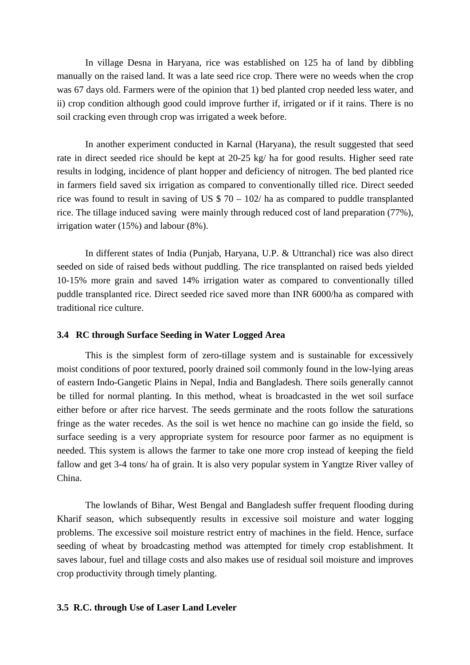In village Desna in Haryana, rice was established on 125 ha of land by dibbling manually on the raised land. It was a late seed rice crop. There were no weeds when the crop was 67 days old. Farmers were of the opinion that 1) bed planted crop needed less water, and ii) crop condition although good could improve further if, irrigated or if it rains. There is no soil cracking even through crop was irrigated a week before.

In another experiment conducted in Karnal (Haryana), the result suggested that seed rate in direct seeded rice should be kept at 20-25 kg/ ha for good results. Higher seed rate results in lodging, incidence of plant hopper and deficiency of nitrogen. The bed planted rice in farmers field saved six irrigation as compared to conventionally tilled rice. Direct seeded rice was found to result in saving of US  $$70 - 102/$  ha as compared to puddle transplanted rice. The tillage induced saving were mainly through reduced cost of land preparation (77%), irrigation water (15%) and labour (8%).

In different states of India (Punjab, Haryana, U.P. & Uttranchal) rice was also direct seeded on side of raised beds without puddling. The rice transplanted on raised beds yielded 10-15% more grain and saved 14% irrigation water as compared to conventionally tilled puddle transplanted rice. Direct seeded rice saved more than INR 6000/ha as compared with traditional rice culture.

#### **3.4 RC through Surface Seeding in Water Logged Area**

This is the simplest form of zero-tillage system and is sustainable for excessively moist conditions of poor textured, poorly drained soil commonly found in the low-lying areas of eastern Indo-Gangetic Plains in Nepal, India and Bangladesh. There soils generally cannot be tilled for normal planting. In this method, wheat is broadcasted in the wet soil surface either before or after rice harvest. The seeds germinate and the roots follow the saturations fringe as the water recedes. As the soil is wet hence no machine can go inside the field, so surface seeding is a very appropriate system for resource poor farmer as no equipment is needed. This system is allows the farmer to take one more crop instead of keeping the field fallow and get 3-4 tons/ ha of grain. It is also very popular system in Yangtze River valley of China.

The lowlands of Bihar, West Bengal and Bangladesh suffer frequent flooding during Kharif season, which subsequently results in excessive soil moisture and water logging problems. The excessive soil moisture restrict entry of machines in the field. Hence, surface seeding of wheat by broadcasting method was attempted for timely crop establishment. It saves labour, fuel and tillage costs and also makes use of residual soil moisture and improves crop productivity through timely planting.

#### **3.5 R.C. through Use of Laser Land Leveler**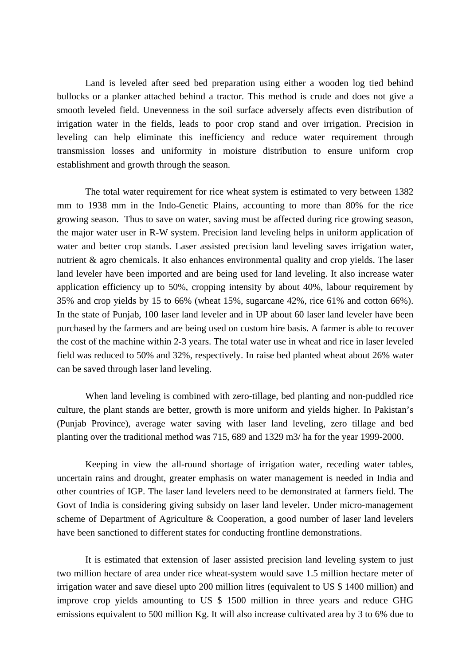Land is leveled after seed bed preparation using either a wooden log tied behind bullocks or a planker attached behind a tractor. This method is crude and does not give a smooth leveled field. Unevenness in the soil surface adversely affects even distribution of irrigation water in the fields, leads to poor crop stand and over irrigation. Precision in leveling can help eliminate this inefficiency and reduce water requirement through transmission losses and uniformity in moisture distribution to ensure uniform crop establishment and growth through the season.

The total water requirement for rice wheat system is estimated to very between 1382 mm to 1938 mm in the Indo-Genetic Plains, accounting to more than 80% for the rice growing season. Thus to save on water, saving must be affected during rice growing season, the major water user in R-W system. Precision land leveling helps in uniform application of water and better crop stands. Laser assisted precision land leveling saves irrigation water, nutrient & agro chemicals. It also enhances environmental quality and crop yields. The laser land leveler have been imported and are being used for land leveling. It also increase water application efficiency up to 50%, cropping intensity by about 40%, labour requirement by 35% and crop yields by 15 to 66% (wheat 15%, sugarcane 42%, rice 61% and cotton 66%). In the state of Punjab, 100 laser land leveler and in UP about 60 laser land leveler have been purchased by the farmers and are being used on custom hire basis. A farmer is able to recover the cost of the machine within 2-3 years. The total water use in wheat and rice in laser leveled field was reduced to 50% and 32%, respectively. In raise bed planted wheat about 26% water can be saved through laser land leveling.

When land leveling is combined with zero-tillage, bed planting and non-puddled rice culture, the plant stands are better, growth is more uniform and yields higher. In Pakistan's (Punjab Province), average water saving with laser land leveling, zero tillage and bed planting over the traditional method was 715, 689 and 1329 m3/ ha for the year 1999-2000.

Keeping in view the all-round shortage of irrigation water, receding water tables, uncertain rains and drought, greater emphasis on water management is needed in India and other countries of IGP. The laser land levelers need to be demonstrated at farmers field. The Govt of India is considering giving subsidy on laser land leveler. Under micro-management scheme of Department of Agriculture & Cooperation, a good number of laser land levelers have been sanctioned to different states for conducting frontline demonstrations.

It is estimated that extension of laser assisted precision land leveling system to just two million hectare of area under rice wheat-system would save 1.5 million hectare meter of irrigation water and save diesel upto 200 million litres (equivalent to US \$ 1400 million) and improve crop yields amounting to US \$ 1500 million in three years and reduce GHG emissions equivalent to 500 million Kg. It will also increase cultivated area by 3 to 6% due to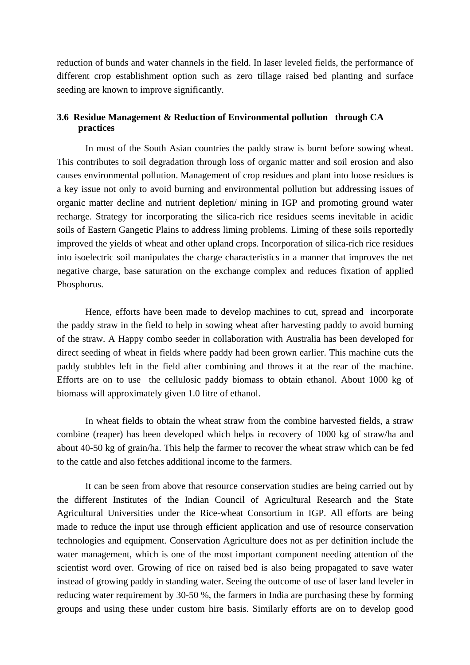reduction of bunds and water channels in the field. In laser leveled fields, the performance of different crop establishment option such as zero tillage raised bed planting and surface seeding are known to improve significantly.

### **3.6 Residue Management & Reduction of Environmental pollution through CA practices**

In most of the South Asian countries the paddy straw is burnt before sowing wheat. This contributes to soil degradation through loss of organic matter and soil erosion and also causes environmental pollution. Management of crop residues and plant into loose residues is a key issue not only to avoid burning and environmental pollution but addressing issues of organic matter decline and nutrient depletion/ mining in IGP and promoting ground water recharge. Strategy for incorporating the silica-rich rice residues seems inevitable in acidic soils of Eastern Gangetic Plains to address liming problems. Liming of these soils reportedly improved the yields of wheat and other upland crops. Incorporation of silica-rich rice residues into isoelectric soil manipulates the charge characteristics in a manner that improves the net negative charge, base saturation on the exchange complex and reduces fixation of applied Phosphorus.

Hence, efforts have been made to develop machines to cut, spread and incorporate the paddy straw in the field to help in sowing wheat after harvesting paddy to avoid burning of the straw. A Happy combo seeder in collaboration with Australia has been developed for direct seeding of wheat in fields where paddy had been grown earlier. This machine cuts the paddy stubbles left in the field after combining and throws it at the rear of the machine. Efforts are on to use the cellulosic paddy biomass to obtain ethanol. About 1000 kg of biomass will approximately given 1.0 litre of ethanol.

In wheat fields to obtain the wheat straw from the combine harvested fields, a straw combine (reaper) has been developed which helps in recovery of 1000 kg of straw/ha and about 40-50 kg of grain/ha. This help the farmer to recover the wheat straw which can be fed to the cattle and also fetches additional income to the farmers.

It can be seen from above that resource conservation studies are being carried out by the different Institutes of the Indian Council of Agricultural Research and the State Agricultural Universities under the Rice-wheat Consortium in IGP. All efforts are being made to reduce the input use through efficient application and use of resource conservation technologies and equipment. Conservation Agriculture does not as per definition include the water management, which is one of the most important component needing attention of the scientist word over. Growing of rice on raised bed is also being propagated to save water instead of growing paddy in standing water. Seeing the outcome of use of laser land leveler in reducing water requirement by 30-50 %, the farmers in India are purchasing these by forming groups and using these under custom hire basis. Similarly efforts are on to develop good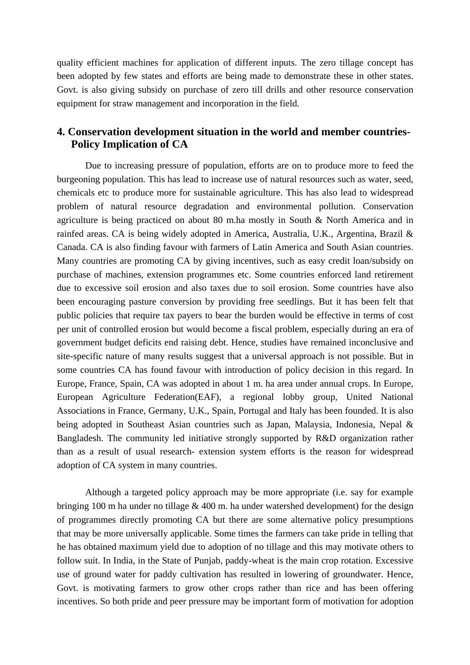quality efficient machines for application of different inputs. The zero tillage concept has been adopted by few states and efforts are being made to demonstrate these in other states. Govt. is also giving subsidy on purchase of zero till drills and other resource conservation equipment for straw management and incorporation in the field.

# **4. Conservation development situation in the world and member countries-Policy Implication of CA**

Due to increasing pressure of population, efforts are on to produce more to feed the burgeoning population. This has lead to increase use of natural resources such as water, seed, chemicals etc to produce more for sustainable agriculture. This has also lead to widespread problem of natural resource degradation and environmental pollution. Conservation agriculture is being practiced on about 80 m.ha mostly in South & North America and in rainfed areas. CA is being widely adopted in America, Australia, U.K., Argentina, Brazil & Canada. CA is also finding favour with farmers of Latin America and South Asian countries. Many countries are promoting CA by giving incentives, such as easy credit loan/subsidy on purchase of machines, extension programmes etc. Some countries enforced land retirement due to excessive soil erosion and also taxes due to soil erosion. Some countries have also been encouraging pasture conversion by providing free seedlings. But it has been felt that public policies that require tax payers to bear the burden would be effective in terms of cost per unit of controlled erosion but would become a fiscal problem, especially during an era of government budget deficits end raising debt. Hence, studies have remained inconclusive and site-specific nature of many results suggest that a universal approach is not possible. But in some countries CA has found favour with introduction of policy decision in this regard. In Europe, France, Spain, CA was adopted in about 1 m. ha area under annual crops. In Europe, European Agriculture Federation(EAF), a regional lobby group, United National Associations in France, Germany, U.K., Spain, Portugal and Italy has been founded. It is also being adopted in Southeast Asian countries such as Japan, Malaysia, Indonesia, Nepal & Bangladesh. The community led initiative strongly supported by R&D organization rather than as a result of usual research- extension system efforts is the reason for widespread adoption of CA system in many countries.

Although a targeted policy approach may be more appropriate (i.e. say for example bringing 100 m ha under no tillage  $& 400$  m. ha under watershed development) for the design of programmes directly promoting CA but there are some alternative policy presumptions that may be more universally applicable. Some times the farmers can take pride in telling that he has obtained maximum yield due to adoption of no tillage and this may motivate others to follow suit. In India, in the State of Punjab, paddy-wheat is the main crop rotation. Excessive use of ground water for paddy cultivation has resulted in lowering of groundwater. Hence, Govt. is motivating farmers to grow other crops rather than rice and has been offering incentives. So both pride and peer pressure may be important form of motivation for adoption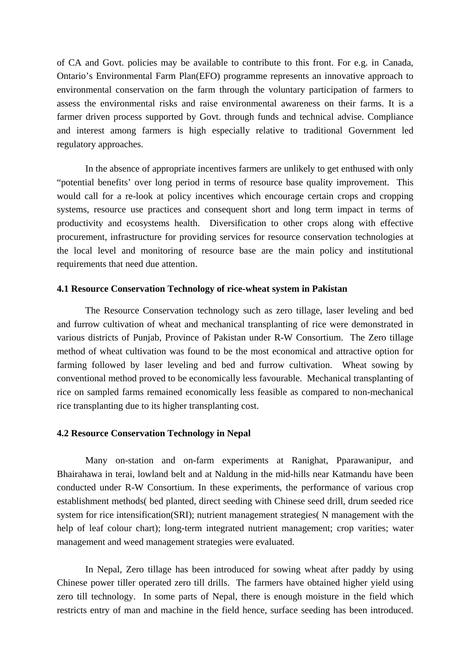of CA and Govt. policies may be available to contribute to this front. For e.g. in Canada, Ontario's Environmental Farm Plan(EFO) programme represents an innovative approach to environmental conservation on the farm through the voluntary participation of farmers to assess the environmental risks and raise environmental awareness on their farms. It is a farmer driven process supported by Govt. through funds and technical advise. Compliance and interest among farmers is high especially relative to traditional Government led regulatory approaches.

In the absence of appropriate incentives farmers are unlikely to get enthused with only "potential benefits' over long period in terms of resource base quality improvement. This would call for a re-look at policy incentives which encourage certain crops and cropping systems, resource use practices and consequent short and long term impact in terms of productivity and ecosystems health. Diversification to other crops along with effective procurement, infrastructure for providing services for resource conservation technologies at the local level and monitoring of resource base are the main policy and institutional requirements that need due attention.

#### **4.1 Resource Conservation Technology of rice-wheat system in Pakistan**

The Resource Conservation technology such as zero tillage, laser leveling and bed and furrow cultivation of wheat and mechanical transplanting of rice were demonstrated in various districts of Punjab, Province of Pakistan under R-W Consortium. The Zero tillage method of wheat cultivation was found to be the most economical and attractive option for farming followed by laser leveling and bed and furrow cultivation. Wheat sowing by conventional method proved to be economically less favourable. Mechanical transplanting of rice on sampled farms remained economically less feasible as compared to non-mechanical rice transplanting due to its higher transplanting cost.

#### **4.2 Resource Conservation Technology in Nepal**

Many on-station and on-farm experiments at Ranighat, Pparawanipur, and Bhairahawa in terai, lowland belt and at Naldung in the mid-hills near Katmandu have been conducted under R-W Consortium. In these experiments, the performance of various crop establishment methods( bed planted, direct seeding with Chinese seed drill, drum seeded rice system for rice intensification(SRI); nutrient management strategies( N management with the help of leaf colour chart); long-term integrated nutrient management; crop varities; water management and weed management strategies were evaluated.

In Nepal, Zero tillage has been introduced for sowing wheat after paddy by using Chinese power tiller operated zero till drills. The farmers have obtained higher yield using zero till technology. In some parts of Nepal, there is enough moisture in the field which restricts entry of man and machine in the field hence, surface seeding has been introduced.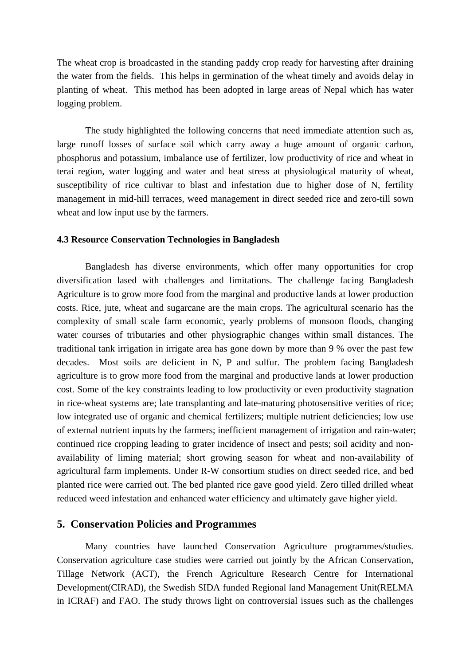The wheat crop is broadcasted in the standing paddy crop ready for harvesting after draining the water from the fields. This helps in germination of the wheat timely and avoids delay in planting of wheat. This method has been adopted in large areas of Nepal which has water logging problem.

The study highlighted the following concerns that need immediate attention such as, large runoff losses of surface soil which carry away a huge amount of organic carbon, phosphorus and potassium, imbalance use of fertilizer, low productivity of rice and wheat in terai region, water logging and water and heat stress at physiological maturity of wheat, susceptibility of rice cultivar to blast and infestation due to higher dose of N, fertility management in mid-hill terraces, weed management in direct seeded rice and zero-till sown wheat and low input use by the farmers.

#### **4.3 Resource Conservation Technologies in Bangladesh**

Bangladesh has diverse environments, which offer many opportunities for crop diversification lased with challenges and limitations. The challenge facing Bangladesh Agriculture is to grow more food from the marginal and productive lands at lower production costs. Rice, jute, wheat and sugarcane are the main crops. The agricultural scenario has the complexity of small scale farm economic, yearly problems of monsoon floods, changing water courses of tributaries and other physiographic changes within small distances. The traditional tank irrigation in irrigate area has gone down by more than 9 % over the past few decades. Most soils are deficient in N, P and sulfur. The problem facing Bangladesh agriculture is to grow more food from the marginal and productive lands at lower production cost. Some of the key constraints leading to low productivity or even productivity stagnation in rice-wheat systems are; late transplanting and late-maturing photosensitive verities of rice; low integrated use of organic and chemical fertilizers; multiple nutrient deficiencies; low use of external nutrient inputs by the farmers; inefficient management of irrigation and rain-water; continued rice cropping leading to grater incidence of insect and pests; soil acidity and nonavailability of liming material; short growing season for wheat and non-availability of agricultural farm implements. Under R-W consortium studies on direct seeded rice, and bed planted rice were carried out. The bed planted rice gave good yield. Zero tilled drilled wheat reduced weed infestation and enhanced water efficiency and ultimately gave higher yield.

### **5. Conservation Policies and Programmes**

Many countries have launched Conservation Agriculture programmes/studies. Conservation agriculture case studies were carried out jointly by the African Conservation, Tillage Network (ACT), the French Agriculture Research Centre for International Development(CIRAD), the Swedish SIDA funded Regional land Management Unit(RELMA in ICRAF) and FAO. The study throws light on controversial issues such as the challenges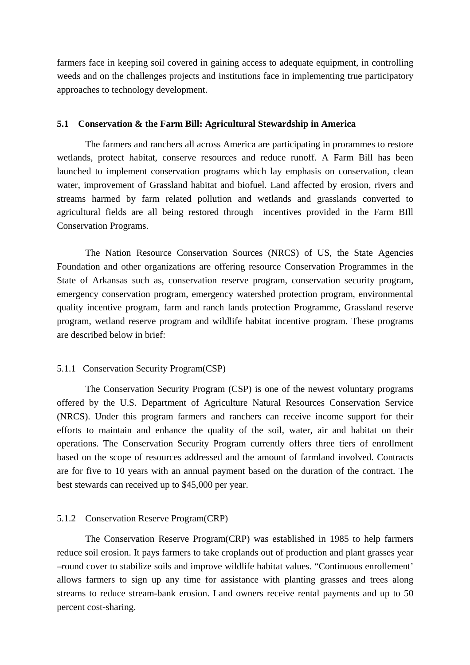farmers face in keeping soil covered in gaining access to adequate equipment, in controlling weeds and on the challenges projects and institutions face in implementing true participatory approaches to technology development.

#### **5.1 Conservation & the Farm Bill: Agricultural Stewardship in America**

The farmers and ranchers all across America are participating in prorammes to restore wetlands, protect habitat, conserve resources and reduce runoff. A Farm Bill has been launched to implement conservation programs which lay emphasis on conservation, clean water, improvement of Grassland habitat and biofuel. Land affected by erosion, rivers and streams harmed by farm related pollution and wetlands and grasslands converted to agricultural fields are all being restored through incentives provided in the Farm BIll Conservation Programs.

The Nation Resource Conservation Sources (NRCS) of US, the State Agencies Foundation and other organizations are offering resource Conservation Programmes in the State of Arkansas such as, conservation reserve program, conservation security program, emergency conservation program, emergency watershed protection program, environmental quality incentive program, farm and ranch lands protection Programme, Grassland reserve program, wetland reserve program and wildlife habitat incentive program. These programs are described below in brief:

#### 5.1.1 Conservation Security Program(CSP)

The Conservation Security Program (CSP) is one of the newest voluntary programs offered by the U.S. Department of Agriculture Natural Resources Conservation Service (NRCS). Under this program farmers and ranchers can receive income support for their efforts to maintain and enhance the quality of the soil, water, air and habitat on their operations. The Conservation Security Program currently offers three tiers of enrollment based on the scope of resources addressed and the amount of farmland involved. Contracts are for five to 10 years with an annual payment based on the duration of the contract. The best stewards can received up to \$45,000 per year.

#### 5.1.2 Conservation Reserve Program(CRP)

The Conservation Reserve Program(CRP) was established in 1985 to help farmers reduce soil erosion. It pays farmers to take croplands out of production and plant grasses year –round cover to stabilize soils and improve wildlife habitat values. "Continuous enrollement' allows farmers to sign up any time for assistance with planting grasses and trees along streams to reduce stream-bank erosion. Land owners receive rental payments and up to 50 percent cost-sharing.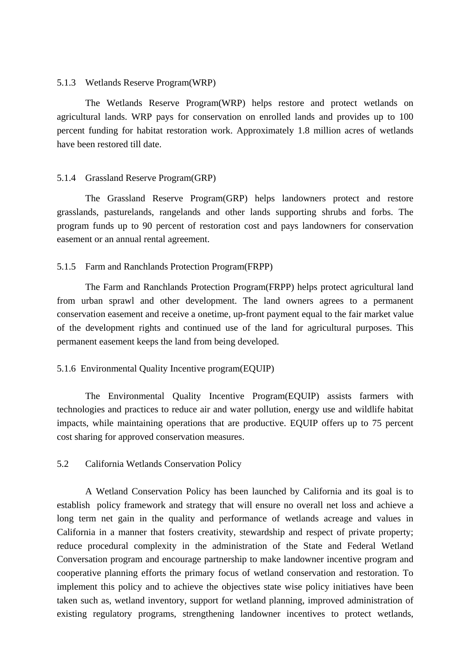#### 5.1.3 Wetlands Reserve Program(WRP)

The Wetlands Reserve Program(WRP) helps restore and protect wetlands on agricultural lands. WRP pays for conservation on enrolled lands and provides up to 100 percent funding for habitat restoration work. Approximately 1.8 million acres of wetlands have been restored till date.

#### 5.1.4 Grassland Reserve Program(GRP)

The Grassland Reserve Program(GRP) helps landowners protect and restore grasslands, pasturelands, rangelands and other lands supporting shrubs and forbs. The program funds up to 90 percent of restoration cost and pays landowners for conservation easement or an annual rental agreement.

#### 5.1.5 Farm and Ranchlands Protection Program(FRPP)

The Farm and Ranchlands Protection Program(FRPP) helps protect agricultural land from urban sprawl and other development. The land owners agrees to a permanent conservation easement and receive a onetime, up-front payment equal to the fair market value of the development rights and continued use of the land for agricultural purposes. This permanent easement keeps the land from being developed.

### 5.1.6 Environmental Quality Incentive program(EQUIP)

The Environmental Quality Incentive Program(EQUIP) assists farmers with technologies and practices to reduce air and water pollution, energy use and wildlife habitat impacts, while maintaining operations that are productive. EQUIP offers up to 75 percent cost sharing for approved conservation measures.

### 5.2 California Wetlands Conservation Policy

A Wetland Conservation Policy has been launched by California and its goal is to establish policy framework and strategy that will ensure no overall net loss and achieve a long term net gain in the quality and performance of wetlands acreage and values in California in a manner that fosters creativity, stewardship and respect of private property; reduce procedural complexity in the administration of the State and Federal Wetland Conversation program and encourage partnership to make landowner incentive program and cooperative planning efforts the primary focus of wetland conservation and restoration. To implement this policy and to achieve the objectives state wise policy initiatives have been taken such as, wetland inventory, support for wetland planning, improved administration of existing regulatory programs, strengthening landowner incentives to protect wetlands,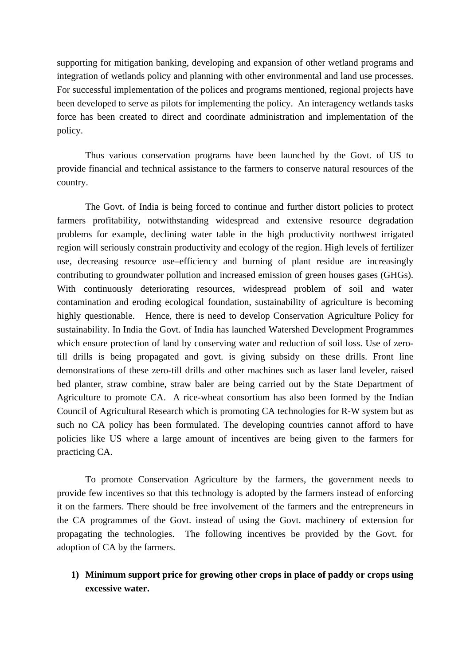supporting for mitigation banking, developing and expansion of other wetland programs and integration of wetlands policy and planning with other environmental and land use processes. For successful implementation of the polices and programs mentioned, regional projects have been developed to serve as pilots for implementing the policy. An interagency wetlands tasks force has been created to direct and coordinate administration and implementation of the policy.

Thus various conservation programs have been launched by the Govt. of US to provide financial and technical assistance to the farmers to conserve natural resources of the country.

The Govt. of India is being forced to continue and further distort policies to protect farmers profitability, notwithstanding widespread and extensive resource degradation problems for example, declining water table in the high productivity northwest irrigated region will seriously constrain productivity and ecology of the region. High levels of fertilizer use, decreasing resource use–efficiency and burning of plant residue are increasingly contributing to groundwater pollution and increased emission of green houses gases (GHGs). With continuously deteriorating resources, widespread problem of soil and water contamination and eroding ecological foundation, sustainability of agriculture is becoming highly questionable. Hence, there is need to develop Conservation Agriculture Policy for sustainability. In India the Govt. of India has launched Watershed Development Programmes which ensure protection of land by conserving water and reduction of soil loss. Use of zerotill drills is being propagated and govt. is giving subsidy on these drills. Front line demonstrations of these zero-till drills and other machines such as laser land leveler, raised bed planter, straw combine, straw baler are being carried out by the State Department of Agriculture to promote CA. A rice-wheat consortium has also been formed by the Indian Council of Agricultural Research which is promoting CA technologies for R-W system but as such no CA policy has been formulated. The developing countries cannot afford to have policies like US where a large amount of incentives are being given to the farmers for practicing CA.

To promote Conservation Agriculture by the farmers, the government needs to provide few incentives so that this technology is adopted by the farmers instead of enforcing it on the farmers. There should be free involvement of the farmers and the entrepreneurs in the CA programmes of the Govt. instead of using the Govt. machinery of extension for propagating the technologies. The following incentives be provided by the Govt. for adoption of CA by the farmers.

# **1) Minimum support price for growing other crops in place of paddy or crops using excessive water.**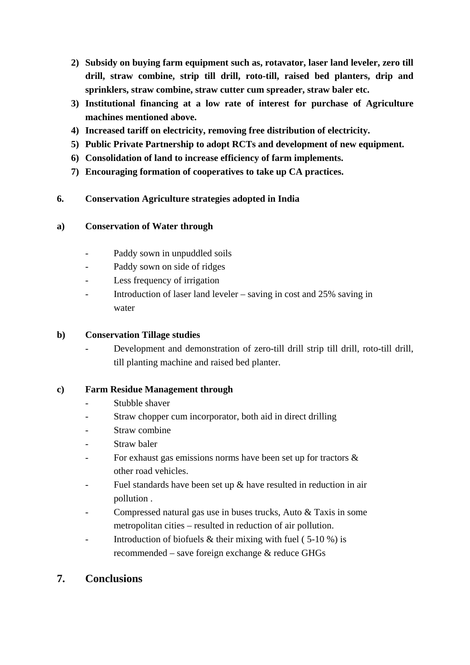- **2) Subsidy on buying farm equipment such as, rotavator, laser land leveler, zero till drill, straw combine, strip till drill, roto-till, raised bed planters, drip and sprinklers, straw combine, straw cutter cum spreader, straw baler etc.**
- **3) Institutional financing at a low rate of interest for purchase of Agriculture machines mentioned above.**
- **4) Increased tariff on electricity, removing free distribution of electricity.**
- **5) Public Private Partnership to adopt RCTs and development of new equipment.**
- **6) Consolidation of land to increase efficiency of farm implements.**
- **7) Encouraging formation of cooperatives to take up CA practices.**

# **6. Conservation Agriculture strategies adopted in India**

## **a) Conservation of Water through**

- Paddy sown in unpuddled soils
- Paddy sown on side of ridges
- Less frequency of irrigation
- Introduction of laser land leveler saving in cost and  $25\%$  saving in water

# **b) Conservation Tillage studies**

Development and demonstration of zero-till drill strip till drill, roto-till drill, till planting machine and raised bed planter.

# **c) Farm Residue Management through**

- Stubble shaver
- Straw chopper cum incorporator, both aid in direct drilling
- Straw combine
- Straw baler
- For exhaust gas emissions norms have been set up for tractors  $\&$ other road vehicles.
- Fuel standards have been set up  $\&$  have resulted in reduction in air pollution .
- Compressed natural gas use in buses trucks, Auto & Taxis in some metropolitan cities – resulted in reduction of air pollution.
- Introduction of biofuels  $&$  their mixing with fuel (5-10 %) is recommended – save foreign exchange & reduce GHGs

# **7. Conclusions**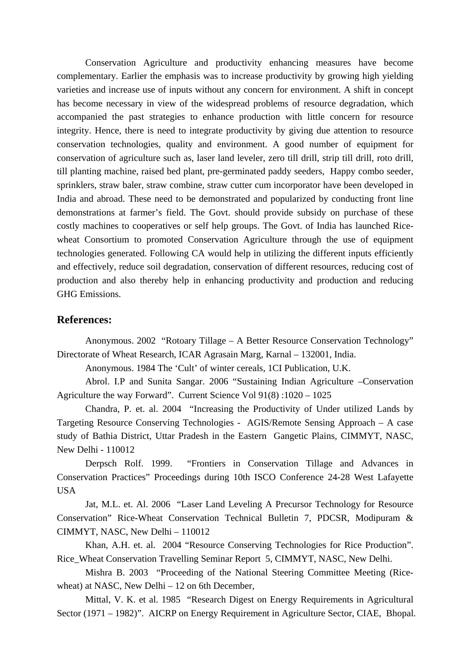Conservation Agriculture and productivity enhancing measures have become complementary. Earlier the emphasis was to increase productivity by growing high yielding varieties and increase use of inputs without any concern for environment. A shift in concept has become necessary in view of the widespread problems of resource degradation, which accompanied the past strategies to enhance production with little concern for resource integrity. Hence, there is need to integrate productivity by giving due attention to resource conservation technologies, quality and environment. A good number of equipment for conservation of agriculture such as, laser land leveler, zero till drill, strip till drill, roto drill, till planting machine, raised bed plant, pre-germinated paddy seeders, Happy combo seeder, sprinklers, straw baler, straw combine, straw cutter cum incorporator have been developed in India and abroad. These need to be demonstrated and popularized by conducting front line demonstrations at farmer's field. The Govt. should provide subsidy on purchase of these costly machines to cooperatives or self help groups. The Govt. of India has launched Ricewheat Consortium to promoted Conservation Agriculture through the use of equipment technologies generated. Following CA would help in utilizing the different inputs efficiently and effectively, reduce soil degradation, conservation of different resources, reducing cost of production and also thereby help in enhancing productivity and production and reducing GHG Emissions.

### **References:**

Anonymous. 2002 "Rotoary Tillage – A Better Resource Conservation Technology" Directorate of Wheat Research, ICAR Agrasain Marg, Karnal – 132001, India.

Anonymous. 1984 The 'Cult' of winter cereals, 1CI Publication, U.K.

Abrol. I.P and Sunita Sangar. 2006 "Sustaining Indian Agriculture –Conservation Agriculture the way Forward". Current Science Vol 91(8) :1020 – 1025

Chandra, P. et. al. 2004 "Increasing the Productivity of Under utilized Lands by Targeting Resource Conserving Technologies - AGIS/Remote Sensing Approach – A case study of Bathia District, Uttar Pradesh in the Eastern Gangetic Plains, CIMMYT, NASC, New Delhi - 110012

Derpsch Rolf. 1999. "Frontiers in Conservation Tillage and Advances in Conservation Practices" Proceedings during 10th ISCO Conference 24-28 West Lafayette USA

Jat, M.L. et. Al. 2006 "Laser Land Leveling A Precursor Technology for Resource Conservation" Rice-Wheat Conservation Technical Bulletin 7, PDCSR, Modipuram & CIMMYT, NASC, New Delhi – 110012

Khan, A.H. et. al. 2004 "Resource Conserving Technologies for Rice Production". Rice\_Wheat Conservation Travelling Seminar Report 5, CIMMYT, NASC, New Delhi.

Mishra B. 2003 "Proceeding of the National Steering Committee Meeting (Ricewheat) at NASC, New Delhi – 12 on 6th December,

Mittal, V. K. et al. 1985 "Research Digest on Energy Requirements in Agricultural Sector (1971 – 1982)". AICRP on Energy Requirement in Agriculture Sector, CIAE, Bhopal.